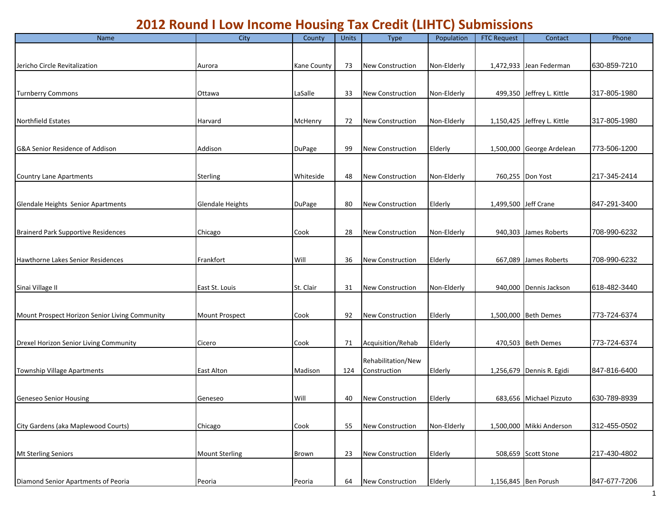## **2012 Round I Low Income Housing Tax Credit (LIHTC) Submissions**

| Name                                           | City                    | County        | Units | <b>Type</b>             | Population  | <b>FTC Request</b>   | Contact                     | Phone        |
|------------------------------------------------|-------------------------|---------------|-------|-------------------------|-------------|----------------------|-----------------------------|--------------|
|                                                |                         |               |       |                         |             |                      |                             |              |
| Jericho Circle Revitalization                  | Aurora                  | Kane County   | 73    | <b>New Construction</b> | Non-Elderly |                      | 1,472,933 Jean Federman     | 630-859-7210 |
|                                                |                         |               |       |                         |             |                      |                             |              |
|                                                |                         |               |       |                         |             |                      |                             |              |
| <b>Turnberry Commons</b>                       | Ottawa                  | LaSalle       | 33    | <b>New Construction</b> | Non-Elderly |                      | 499,350 Jeffrey L. Kittle   | 317-805-1980 |
|                                                |                         |               |       |                         |             |                      |                             |              |
| <b>Northfield Estates</b>                      | Harvard                 | McHenry       | 72    | <b>New Construction</b> | Non-Elderly |                      | 1,150,425 Jeffrey L. Kittle | 317-805-1980 |
|                                                |                         |               |       |                         |             |                      |                             |              |
| G&A Senior Residence of Addison                | Addison                 |               | 99    | <b>New Construction</b> | Elderly     |                      | 1,500,000 George Ardelean   | 773-506-1200 |
|                                                |                         | <b>DuPage</b> |       |                         |             |                      |                             |              |
|                                                |                         |               |       |                         |             |                      |                             |              |
| <b>Country Lane Apartments</b>                 | <b>Sterling</b>         | Whiteside     | 48    | <b>New Construction</b> | Non-Elderly |                      | 760,255 Don Yost            | 217-345-2414 |
|                                                |                         |               |       |                         |             |                      |                             |              |
| Glendale Heights Senior Apartments             | <b>Glendale Heights</b> | <b>DuPage</b> | 80    | New Construction        | Elderly     | 1,499,500 Jeff Crane |                             | 847-291-3400 |
|                                                |                         |               |       |                         |             |                      |                             |              |
| <b>Brainerd Park Supportive Residences</b>     | Chicago                 | Cook          | 28    | New Construction        | Non-Elderly |                      | 940,303 James Roberts       | 708-990-6232 |
|                                                |                         |               |       |                         |             |                      |                             |              |
|                                                |                         |               |       |                         |             |                      |                             |              |
| Hawthorne Lakes Senior Residences              | Frankfort               | Will          | 36    | New Construction        | Elderly     |                      | 667,089 James Roberts       | 708-990-6232 |
|                                                |                         |               |       |                         |             |                      |                             |              |
| Sinai Village II                               | East St. Louis          | St. Clair     | 31    | <b>New Construction</b> | Non-Elderly |                      | 940,000 Dennis Jackson      | 618-482-3440 |
|                                                |                         |               |       |                         |             |                      |                             |              |
| Mount Prospect Horizon Senior Living Community | <b>Mount Prospect</b>   | Cook          | 92    | <b>New Construction</b> | Elderly     |                      | 1,500,000 Beth Demes        | 773-724-6374 |
|                                                |                         |               |       |                         |             |                      |                             |              |
|                                                |                         |               |       |                         |             |                      |                             |              |
| Drexel Horizon Senior Living Community         | Cicero                  | Cook          | 71    | Acquisition/Rehab       | Elderly     |                      | 470,503 Beth Demes          | 773-724-6374 |
|                                                |                         |               |       | Rehabilitation/New      |             |                      |                             |              |
| <b>Township Village Apartments</b>             | <b>East Alton</b>       | Madison       | 124   | Construction            | Elderly     |                      | 1,256,679 Dennis R. Egidi   | 847-816-6400 |
|                                                |                         |               |       |                         |             |                      |                             |              |
| Geneseo Senior Housing                         | Geneseo                 | Will          | 40    | New Construction        | Elderly     |                      | 683,656 Michael Pizzuto     | 630-789-8939 |
|                                                |                         |               |       |                         |             |                      |                             |              |
|                                                |                         |               |       |                         |             |                      |                             |              |
| City Gardens (aka Maplewood Courts)            | Chicago                 | Cook          | 55    | <b>New Construction</b> | Non-Elderly |                      | 1,500,000 Mikki Anderson    | 312-455-0502 |
|                                                |                         |               |       |                         |             |                      |                             |              |
| Mt Sterling Seniors                            | <b>Mount Sterling</b>   | Brown         | 23    | New Construction        | Elderly     |                      | 508,659 Scott Stone         | 217-430-4802 |
|                                                |                         |               |       |                         |             |                      |                             |              |
| Diamond Senior Apartments of Peoria            | Peoria                  | Peoria        | 64    | New Construction        | Elderly     |                      | 1,156,845 Ben Porush        | 847-677-7206 |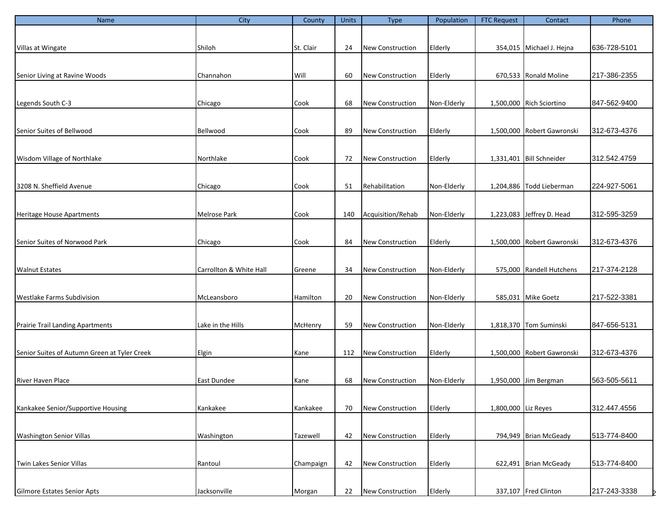| Name                                         | City                    | County    | Units | <b>Type</b>             | Population  | <b>FTC Request</b>  | Contact                    | Phone        |
|----------------------------------------------|-------------------------|-----------|-------|-------------------------|-------------|---------------------|----------------------------|--------------|
|                                              |                         |           |       |                         |             |                     |                            |              |
|                                              |                         |           |       |                         |             |                     |                            |              |
| Villas at Wingate                            | Shiloh                  | St. Clair | 24    | <b>New Construction</b> | Elderly     |                     | 354,015 Michael J. Hejna   | 636-728-5101 |
|                                              |                         |           |       |                         |             |                     |                            |              |
| Senior Living at Ravine Woods                | Channahon               | Will      | 60    | <b>New Construction</b> | Elderly     |                     | 670,533 Ronald Moline      | 217-386-2355 |
|                                              |                         |           |       |                         |             |                     |                            |              |
|                                              |                         |           |       |                         |             |                     |                            |              |
| Legends South C-3                            | Chicago                 | Cook      | 68    | <b>New Construction</b> | Non-Elderly |                     | 1,500,000 Rich Sciortino   | 847-562-9400 |
|                                              |                         |           |       |                         |             |                     |                            |              |
|                                              |                         |           |       |                         |             |                     |                            |              |
| Senior Suites of Bellwood                    | Bellwood                | Cook      | 89    | <b>New Construction</b> | Elderly     |                     | 1,500,000 Robert Gawronski | 312-673-4376 |
|                                              |                         |           |       |                         |             |                     |                            |              |
| Wisdom Village of Northlake                  | Northlake               | Cook      | 72    | <b>New Construction</b> | Elderly     |                     | 1,331,401 Bill Schneider   | 312.542.4759 |
|                                              |                         |           |       |                         |             |                     |                            |              |
|                                              |                         |           |       |                         |             |                     |                            |              |
| 3208 N. Sheffield Avenue                     | Chicago                 | Cook      | 51    | Rehabilitation          | Non-Elderly |                     | 1,204,886 Todd Lieberman   | 224-927-5061 |
|                                              |                         |           |       |                         |             |                     |                            |              |
|                                              |                         |           |       |                         |             |                     |                            |              |
| <b>Heritage House Apartments</b>             | Melrose Park            | Cook      | 140   | Acquisition/Rehab       | Non-Elderly |                     | 1,223,083 Jeffrey D. Head  | 312-595-3259 |
|                                              |                         |           |       |                         |             |                     |                            |              |
| Senior Suites of Norwood Park                | Chicago                 | Cook      | 84    | <b>New Construction</b> | Elderly     |                     | 1,500,000 Robert Gawronski | 312-673-4376 |
|                                              |                         |           |       |                         |             |                     |                            |              |
|                                              |                         |           |       |                         |             |                     |                            |              |
| <b>Walnut Estates</b>                        | Carrollton & White Hall | Greene    | 34    | <b>New Construction</b> | Non-Elderly |                     | 575,000 Randell Hutchens   | 217-374-2128 |
|                                              |                         |           |       |                         |             |                     |                            |              |
| <b>Westlake Farms Subdivision</b>            | McLeansboro             | Hamilton  | 20    | <b>New Construction</b> | Non-Elderly |                     | 585,031 Mike Goetz         | 217-522-3381 |
|                                              |                         |           |       |                         |             |                     |                            |              |
|                                              |                         |           |       |                         |             |                     |                            |              |
| <b>Prairie Trail Landing Apartments</b>      | Lake in the Hills       | McHenry   | 59    | <b>New Construction</b> | Non-Elderly |                     | 1,818,370 Tom Suminski     | 847-656-5131 |
|                                              |                         |           |       |                         |             |                     |                            |              |
| Senior Suites of Autumn Green at Tyler Creek | Elgin                   |           | 112   | <b>New Construction</b> |             |                     | 1,500,000 Robert Gawronski | 312-673-4376 |
|                                              |                         | Kane      |       |                         | Elderly     |                     |                            |              |
|                                              |                         |           |       |                         |             |                     |                            |              |
| River Haven Place                            | East Dundee             | Kane      | 68    | <b>New Construction</b> | Non-Elderly |                     | 1,950,000 Jim Bergman      | 563-505-5611 |
|                                              |                         |           |       |                         |             |                     |                            |              |
|                                              |                         |           |       |                         |             |                     |                            |              |
| Kankakee Senior/Supportive Housing           | Kankakee                | Kankakee  | 70    | <b>New Construction</b> | Elderly     | 1,800,000 Liz Reyes |                            | 312.447.4556 |
|                                              |                         |           |       |                         |             |                     |                            |              |
| <b>Washington Senior Villas</b>              | Washington              | Tazewell  | 42    | New Construction        | Elderly     |                     | 794,949 Brian McGeady      | 513-774-8400 |
|                                              |                         |           |       |                         |             |                     |                            |              |
|                                              |                         |           |       |                         |             |                     |                            |              |
| Twin Lakes Senior Villas                     | Rantoul                 | Champaign | 42    | <b>New Construction</b> | Elderly     |                     | 622,491 Brian McGeady      | 513-774-8400 |
|                                              |                         |           |       |                         |             |                     |                            |              |
| Gilmore Estates Senior Apts                  | Jacksonville            | Morgan    | 22    | <b>New Construction</b> | Elderly     |                     | 337,107 Fred Clinton       | 217-243-3338 |